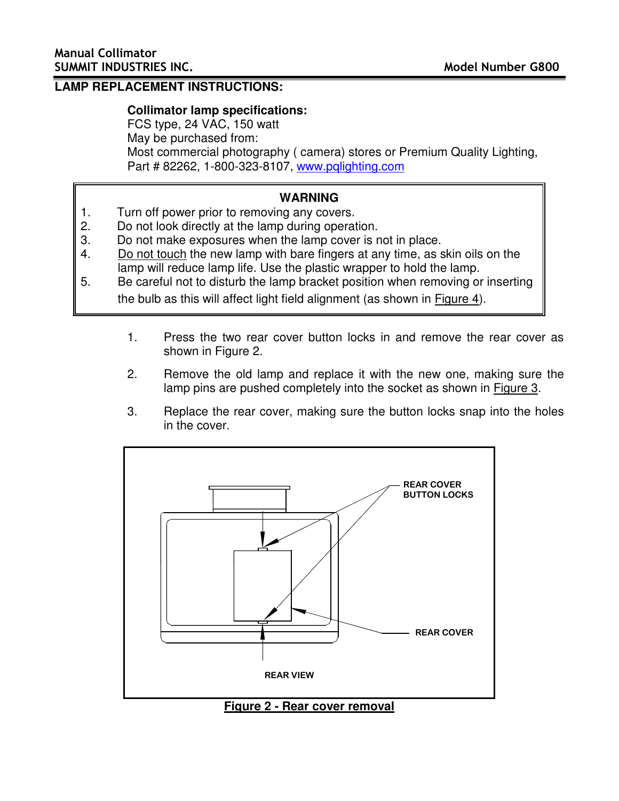## **LAMP REPLACEMENT INSTRUCTIONS:**

## **Collimator lamp specifications:**

FCS type, 24 VAC, 150 watt May be purchased from: Most commercial photography ( camera) stores or Premium Quality Lighting, Part # 82262, 1-800-323-8107, www.pqlighting.com

## **WARNING**

- 1. Turn off power prior to removing any covers.
- 2. Do not look directly at the lamp during operation.
- 3. Do not make exposures when the lamp cover is not in place.
- 4. Do not touch the new lamp with bare fingers at any time, as skin oils on the lamp will reduce lamp life. Use the plastic wrapper to hold the lamp.
- 5. Be careful not to disturb the lamp bracket position when removing or inserting the bulb as this will affect light field alignment (as shown in Figure 4).
	- 1. Press the two rear cover button locks in and remove the rear cover as shown in Figure 2.
	- 2. Remove the old lamp and replace it with the new one, making sure the lamp pins are pushed completely into the socket as shown in Figure 3.
	- 3. Replace the rear cover, making sure the button locks snap into the holes in the cover.